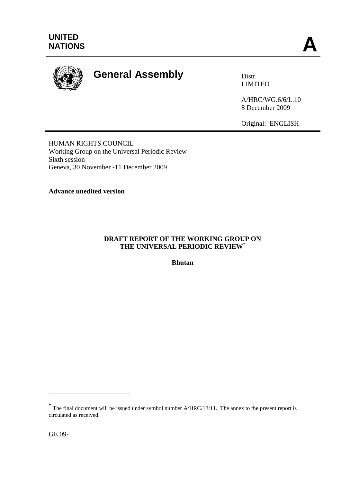

# **General Assembly Distrally** Distr.

LIMITED

A/HRC/WG.6/6/L.10 8 December 2009

Original: ENGLISH

HUMAN RIGHTS COUNCIL Working Group on the Universal Periodic Review Sixth session Geneva, 30 November -11 December 2009

# **Advance unedited version**

# **DRAFT REPORT OF THE WORKING GROUP ON THE UNIVERSAL PERIODIC REVIEW**\*

**Bhutan**

<u>.</u>

**<sup>\*</sup>** The final document will be issued under symbol number A/HRC/13/11. The annex to the present report is circulated as received.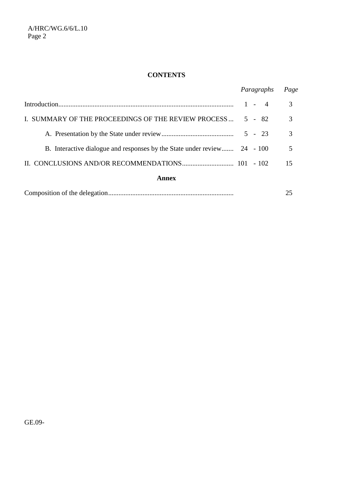# **CONTENTS**

|                                                                          | Paragraphs | Page          |
|--------------------------------------------------------------------------|------------|---------------|
|                                                                          | $1 - 4$    | 3             |
| I. SUMMARY OF THE PROCEEDINGS OF THE REVIEW PROCESS                      | $5 - 82$   | 3             |
|                                                                          |            | $\mathcal{R}$ |
| B. Interactive dialogue and responses by the State under review 24 - 100 |            | 5             |
|                                                                          |            | 15            |
| Annex                                                                    |            |               |
|                                                                          |            | 25            |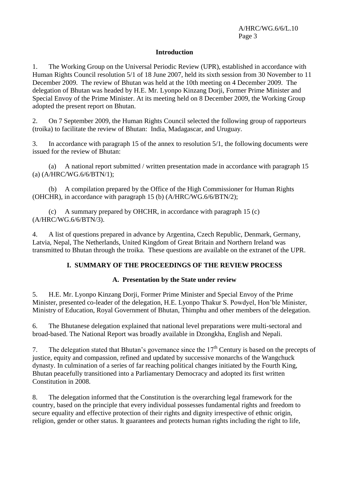## **Introduction**

1. The Working Group on the Universal Periodic Review (UPR), established in accordance with Human Rights Council resolution 5/1 of 18 June 2007, held its sixth session from 30 November to 11 December 2009. The review of Bhutan was held at the 10th meeting on 4 December 2009. The delegation of Bhutan was headed by H.E. Mr. Lyonpo Kinzang Dorji, Former Prime Minister and Special Envoy of the Prime Minister. At its meeting held on 8 December 2009, the Working Group adopted the present report on Bhutan.

2. On 7 September 2009, the Human Rights Council selected the following group of rapporteurs (troika) to facilitate the review of Bhutan: India, Madagascar, and Uruguay.

3. In accordance with paragraph 15 of the annex to resolution 5/1, the following documents were issued for the review of Bhutan:

(a) A national report submitted / written presentation made in accordance with paragraph 15 (a) (A/HRC/WG.6/6/BTN/1);

(b) A compilation prepared by the Office of the High Commissioner for Human Rights (OHCHR), in accordance with paragraph 15 (b) (A/HRC/WG.6/6/BTN/2);

(c) A summary prepared by OHCHR, in accordance with paragraph  $15$  (c) (A/HRC/WG.6/6/BTN/3).

4. A list of questions prepared in advance by Argentina, Czech Republic, Denmark, Germany, Latvia, Nepal, The Netherlands, United Kingdom of Great Britain and Northern Ireland was transmitted to Bhutan through the troika. These questions are available on the extranet of the UPR.

## **I. SUMMARY OF THE PROCEEDINGS OF THE REVIEW PROCESS**

#### **A. Presentation by the State under review**

5. H.E. Mr. Lyonpo Kinzang Dorji, Former Prime Minister and Special Envoy of the Prime Minister, presented co-leader of the delegation, H.E. Lyonpo Thakur S. Powdyel, Hon'ble Minister, Ministry of Education, Royal Government of Bhutan, Thimphu and other members of the delegation.

6. The Bhutanese delegation explained that national level preparations were multi-sectoral and broad-based. The National Report was broadly available in Dzongkha, English and Nepali.

7. The delegation stated that Bhutan's governance since the  $17<sup>th</sup>$  Century is based on the precepts of justice, equity and compassion, refined and updated by successive monarchs of the Wangchuck dynasty. In culmination of a series of far reaching political changes initiated by the Fourth King, Bhutan peacefully transitioned into a Parliamentary Democracy and adopted its first written Constitution in 2008.

8. The delegation informed that the Constitution is the overarching legal framework for the country, based on the principle that every individual possesses fundamental rights and freedom to secure equality and effective protection of their rights and dignity irrespective of ethnic origin, religion, gender or other status. It guarantees and protects human rights including the right to life,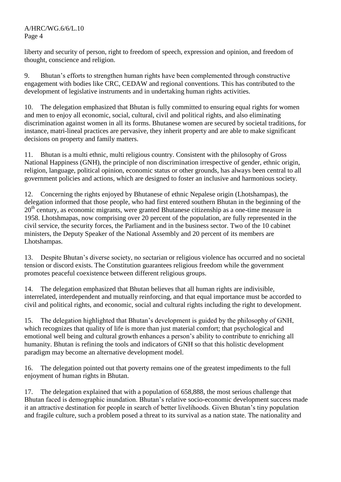liberty and security of person, right to freedom of speech, expression and opinion, and freedom of thought, conscience and religion.

9. Bhutan's efforts to strengthen human rights have been complemented through constructive engagement with bodies like CRC, CEDAW and regional conventions. This has contributed to the development of legislative instruments and in undertaking human rights activities.

10. The delegation emphasized that Bhutan is fully committed to ensuring equal rights for women and men to enjoy all economic, social, cultural, civil and political rights, and also eliminating discrimination against women in all its forms. Bhutanese women are secured by societal traditions, for instance, matri-lineal practices are pervasive, they inherit property and are able to make significant decisions on property and family matters.

11. Bhutan is a multi ethnic, multi religious country. Consistent with the philosophy of Gross National Happiness (GNH), the principle of non discrimination irrespective of gender, ethnic origin, religion, language, political opinion, economic status or other grounds, has always been central to all government policies and actions, which are designed to foster an inclusive and harmonious society.

12. Concerning the rights enjoyed by Bhutanese of ethnic Nepalese origin (Lhotshampas), the delegation informed that those people, who had first entered southern Bhutan in the beginning of the  $20<sup>th</sup>$  century, as economic migrants, were granted Bhutanese citizenship as a one-time measure in 1958. Lhotshmapas, now comprising over 20 percent of the population, are fully represented in the civil service, the security forces, the Parliament and in the business sector. Two of the 10 cabinet ministers, the Deputy Speaker of the National Assembly and 20 percent of its members are Lhotshampas.

13. Despite Bhutan's diverse society, no sectarian or religious violence has occurred and no societal tension or discord exists. The Constitution guarantees religious freedom while the government promotes peaceful coexistence between different religious groups.

14. The delegation emphasized that Bhutan believes that all human rights are indivisible, interrelated, interdependent and mutually reinforcing, and that equal importance must be accorded to civil and political rights, and economic, social and cultural rights including the right to development.

15. The delegation highlighted that Bhutan's development is guided by the philosophy of GNH, which recognizes that quality of life is more than just material comfort; that psychological and emotional well being and cultural growth enhances a person's ability to contribute to enriching all humanity. Bhutan is refining the tools and indicators of GNH so that this holistic development paradigm may become an alternative development model.

16. The delegation pointed out that poverty remains one of the greatest impediments to the full enjoyment of human rights in Bhutan.

17. The delegation explained that with a population of 658,888, the most serious challenge that Bhutan faced is demographic inundation. Bhutan's relative socio-economic development success made it an attractive destination for people in search of better livelihoods. Given Bhutan's tiny population and fragile culture, such a problem posed a threat to its survival as a nation state. The nationality and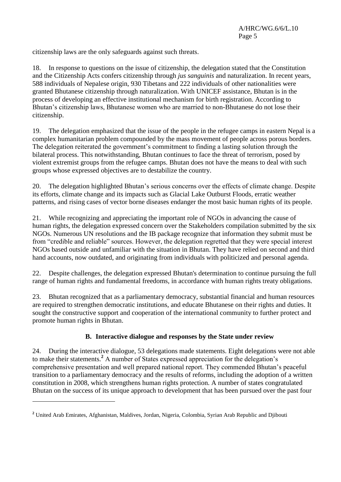citizenship laws are the only safeguards against such threats.

18. In response to questions on the issue of citizenship, the delegation stated that the Constitution and the Citizenship Acts confers citizenship through *jus sanguinis* and naturalization. In recent years, 588 individuals of Nepalese origin, 930 Tibetans and 222 individuals of other nationalities were granted Bhutanese citizenship through naturalization. With UNICEF assistance, Bhutan is in the process of developing an effective institutional mechanism for birth registration. According to Bhutan's citizenship laws, Bhutanese women who are married to non-Bhutanese do not lose their citizenship.

19. The delegation emphasized that the issue of the people in the refugee camps in eastern Nepal is a complex humanitarian problem compounded by the mass movement of people across porous borders. The delegation reiterated the government's commitment to finding a lasting solution through the bilateral process. This notwithstanding, Bhutan continues to face the threat of terrorism, posed by violent extremist groups from the refugee camps. Bhutan does not have the means to deal with such groups whose expressed objectives are to destabilize the country.

20. The delegation highlighted Bhutan's serious concerns over the effects of climate change. Despite its efforts, climate change and its impacts such as Glacial Lake Outburst Floods, erratic weather patterns, and rising cases of vector borne diseases endanger the most basic human rights of its people.

21. While recognizing and appreciating the important role of NGOs in advancing the cause of human rights, the delegation expressed concern over the Stakeholders compilation submitted by the six NGOs. Numerous UN resolutions and the IB package recognize that information they submit must be from "credible and reliable" sources. However, the delegation regretted that they were special interest NGOs based outside and unfamiliar with the situation in Bhutan. They have relied on second and third hand accounts, now outdated, and originating from individuals with politicized and personal agenda.

22. Despite challenges, the delegation expressed Bhutan's determination to continue pursuing the full range of human rights and fundamental freedoms, in accordance with human rights treaty obligations.

23. Bhutan recognized that as a parliamentary democracy, substantial financial and human resources are required to strengthen democratic institutions, and educate Bhutanese on their rights and duties. It sought the constructive support and cooperation of the international community to further protect and promote human rights in Bhutan.

## **B. Interactive dialogue and responses by the State under review**

24. During the interactive dialogue, 53 delegations made statements. Eight delegations were not able to make their statements.**<sup>2</sup>** A number of States expressed appreciation for the delegation's comprehensive presentation and well prepared national report. They commended Bhutan's peaceful transition to a parliamentary democracy and the results of reforms, including the adoption of a written constitution in 2008, which strengthens human rights protection. A number of states congratulated Bhutan on the success of its unique approach to development that has been pursued over the past four

<u>.</u>

**<sup>2</sup>** United Arab Emirates, Afghanistan, Maldives, Jordan, Nigeria, Colombia, Syrian Arab Republic and Djibouti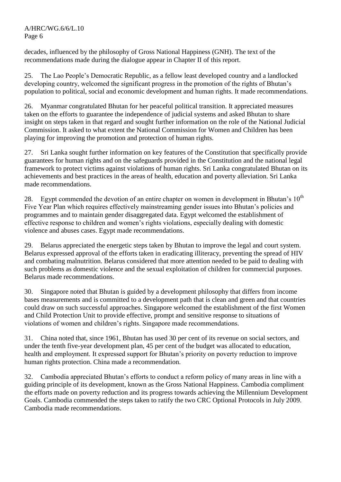decades, influenced by the philosophy of Gross National Happiness (GNH). The text of the recommendations made during the dialogue appear in Chapter II of this report.

25. The Lao People's Democratic Republic, as a fellow least developed country and a landlocked developing country, welcomed the significant progress in the promotion of the rights of Bhutan's population to political, social and economic development and human rights. It made recommendations.

26. Myanmar congratulated Bhutan for her peaceful political transition. It appreciated measures taken on the efforts to guarantee the independence of judicial systems and asked Bhutan to share insight on steps taken in that regard and sought further information on the role of the National Judicial Commission. It asked to what extent the National Commission for Women and Children has been playing for improving the promotion and protection of human rights.

27. Sri Lanka sought further information on key features of the Constitution that specifically provide guarantees for human rights and on the safeguards provided in the Constitution and the national legal framework to protect victims against violations of human rights. Sri Lanka congratulated Bhutan on its achievements and best practices in the areas of health, education and poverty alleviation. Sri Lanka made recommendations.

28. Egypt commended the devotion of an entire chapter on women in development in Bhutan's  $10^{th}$ Five Year Plan which requires effectively mainstreaming gender issues into Bhutan's policies and programmes and to maintain gender disaggregated data. Egypt welcomed the establishment of effective response to children and women's rights violations, especially dealing with domestic violence and abuses cases. Egypt made recommendations.

29. Belarus appreciated the energetic steps taken by Bhutan to improve the legal and court system. Belarus expressed approval of the efforts taken in eradicating illiteracy, preventing the spread of HIV and combating malnutrition. Belarus considered that more attention needed to be paid to dealing with such problems as domestic violence and the sexual exploitation of children for commercial purposes. Belarus made recommendations.

30. Singapore noted that Bhutan is guided by a development philosophy that differs from income bases measurements and is committed to a development path that is clean and green and that countries could draw on such successful approaches. Singapore welcomed the establishment of the first Women and Child Protection Unit to provide effective, prompt and sensitive response to situations of violations of women and children's rights. Singapore made recommendations.

31. China noted that, since 1961, Bhutan has used 30 per cent of its revenue on social sectors, and under the tenth five-year development plan, 45 per cent of the budget was allocated to education, health and employment. It expressed support for Bhutan's priority on poverty reduction to improve human rights protection. China made a recommendation.

32. Cambodia appreciated Bhutan's efforts to conduct a reform policy of many areas in line with a guiding principle of its development, known as the Gross National Happiness. Cambodia compliment the efforts made on poverty reduction and its progress towards achieving the Millennium Development Goals. Cambodia commended the steps taken to ratify the two CRC Optional Protocols in July 2009. Cambodia made recommendations.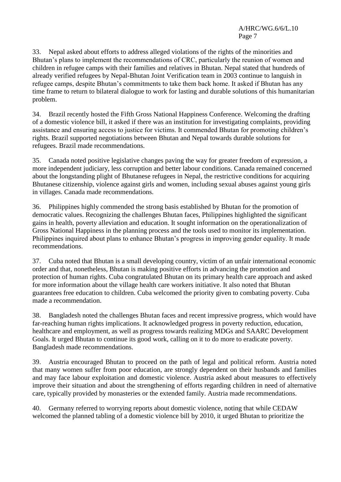33. Nepal asked about efforts to address alleged violations of the rights of the minorities and Bhutan's plans to implement the recommendations of CRC, particularly the reunion of women and children in refugee camps with their families and relatives in Bhutan. Nepal stated that hundreds of already verified refugees by Nepal-Bhutan Joint Verification team in 2003 continue to languish in refugee camps, despite Bhutan's commitments to take them back home. It asked if Bhutan has any time frame to return to bilateral dialogue to work for lasting and durable solutions of this humanitarian problem.

34. Brazil recently hosted the Fifth Gross National Happiness Conference. Welcoming the drafting of a domestic violence bill, it asked if there was an institution for investigating complaints, providing assistance and ensuring access to justice for victims. It commended Bhutan for promoting children's rights. Brazil supported negotiations between Bhutan and Nepal towards durable solutions for refugees. Brazil made recommendations.

35. Canada noted positive legislative changes paving the way for greater freedom of expression, a more independent judiciary, less corruption and better labour conditions. Canada remained concerned about the longstanding plight of Bhutanese refugees in Nepal, the restrictive conditions for acquiring Bhutanese citizenship, violence against girls and women, including sexual abuses against young girls in villages. Canada made recommendations.

36. Philippines highly commended the strong basis established by Bhutan for the promotion of democratic values. Recognizing the challenges Bhutan faces, Philippines highlighted the significant gains in health, poverty alleviation and education. It sought information on the operationalization of Gross National Happiness in the planning process and the tools used to monitor its implementation. Philippines inquired about plans to enhance Bhutan's progress in improving gender equality. It made recommendations.

37. Cuba noted that Bhutan is a small developing country, victim of an unfair international economic order and that, nonetheless, Bhutan is making positive efforts in advancing the promotion and protection of human rights. Cuba congratulated Bhutan on its primary health care approach and asked for more information about the village health care workers initiative. It also noted that Bhutan guarantees free education to children. Cuba welcomed the priority given to combating poverty. Cuba made a recommendation.

38. Bangladesh noted the challenges Bhutan faces and recent impressive progress, which would have far-reaching human rights implications. It acknowledged progress in poverty reduction, education, healthcare and employment, as well as progress towards realizing MDGs and SAARC Development Goals. It urged Bhutan to continue its good work, calling on it to do more to eradicate poverty. Bangladesh made recommendations.

39. Austria encouraged Bhutan to proceed on the path of legal and political reform. Austria noted that many women suffer from poor education, are strongly dependent on their husbands and families and may face labour exploitation and domestic violence. Austria asked about measures to effectively improve their situation and about the strengthening of efforts regarding children in need of alternative care, typically provided by monasteries or the extended family. Austria made recommendations.

40. Germany referred to worrying reports about domestic violence, noting that while CEDAW welcomed the planned tabling of a domestic violence bill by 2010, it urged Bhutan to prioritize the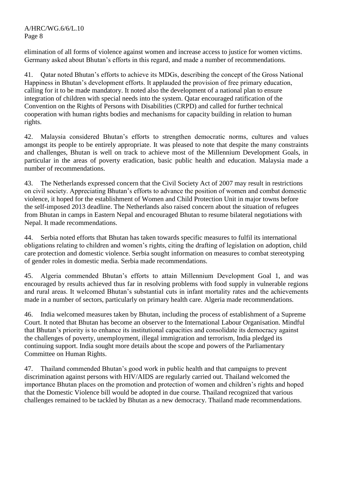elimination of all forms of violence against women and increase access to justice for women victims. Germany asked about Bhutan's efforts in this regard, and made a number of recommendations.

41. Qatar noted Bhutan's efforts to achieve its MDGs, describing the concept of the Gross National Happiness in Bhutan's development efforts. It applauded the provision of free primary education, calling for it to be made mandatory. It noted also the development of a national plan to ensure integration of children with special needs into the system. Qatar encouraged ratification of the Convention on the Rights of Persons with Disabilities (CRPD) and called for further technical cooperation with human rights bodies and mechanisms for capacity building in relation to human rights.

42. Malaysia considered Bhutan's efforts to strengthen democratic norms, cultures and values amongst its people to be entirely appropriate. It was pleased to note that despite the many constraints and challenges, Bhutan is well on track to achieve most of the Millennium Development Goals, in particular in the areas of poverty eradication, basic public health and education. Malaysia made a number of recommendations.

43. The Netherlands expressed concern that the Civil Society Act of 2007 may result in restrictions on civil society. Appreciating Bhutan's efforts to advance the position of women and combat domestic violence, it hoped for the establishment of Women and Child Protection Unit in major towns before the self-imposed 2013 deadline. The Netherlands also raised concern about the situation of refugees from Bhutan in camps in Eastern Nepal and encouraged Bhutan to resume bilateral negotiations with Nepal. It made recommendations.

44. Serbia noted efforts that Bhutan has taken towards specific measures to fulfil its international obligations relating to children and women's rights, citing the drafting of legislation on adoption, child care protection and domestic violence. Serbia sought information on measures to combat stereotyping of gender roles in domestic media. Serbia made recommendations.

45. Algeria commended Bhutan's efforts to attain Millennium Development Goal 1, and was encouraged by results achieved thus far in resolving problems with food supply in vulnerable regions and rural areas. It welcomed Bhutan's substantial cuts in infant mortality rates and the achievements made in a number of sectors, particularly on primary health care. Algeria made recommendations.

46. India welcomed measures taken by Bhutan, including the process of establishment of a Supreme Court. It noted that Bhutan has become an observer to the International Labour Organisation. Mindful that Bhutan's priority is to enhance its institutional capacities and consolidate its democracy against the challenges of poverty, unemployment, illegal immigration and terrorism, India pledged its continuing support. India sought more details about the scope and powers of the Parliamentary Committee on Human Rights.

47. Thailand commended Bhutan's good work in public health and that campaigns to prevent discrimination against persons with HIV/AIDS are regularly carried out. Thailand welcomed the importance Bhutan places on the promotion and protection of women and children's rights and hoped that the Domestic Violence bill would be adopted in due course. Thailand recognized that various challenges remained to be tackled by Bhutan as a new democracy. Thailand made recommendations.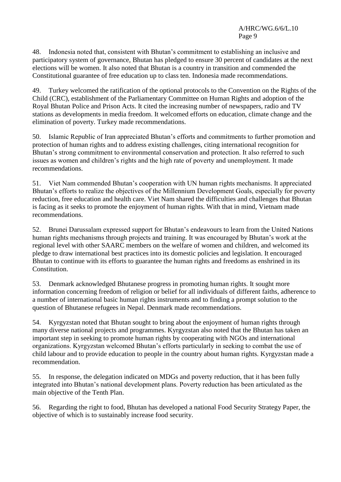48. Indonesia noted that, consistent with Bhutan's commitment to establishing an inclusive and participatory system of governance, Bhutan has pledged to ensure 30 percent of candidates at the next elections will be women. It also noted that Bhutan is a country in transition and commended the Constitutional guarantee of free education up to class ten. Indonesia made recommendations.

49. Turkey welcomed the ratification of the optional protocols to the Convention on the Rights of the Child (CRC), establishment of the Parliamentary Committee on Human Rights and adoption of the Royal Bhutan Police and Prison Acts. It cited the increasing number of newspapers, radio and TV stations as developments in media freedom. It welcomed efforts on education, climate change and the elimination of poverty. Turkey made recommendations.

50. Islamic Republic of Iran appreciated Bhutan's efforts and commitments to further promotion and protection of human rights and to address existing challenges, citing international recognition for Bhutan's strong commitment to environmental conservation and protection. It also referred to such issues as women and children's rights and the high rate of poverty and unemployment. It made recommendations.

51. Viet Nam commended Bhutan's cooperation with UN human rights mechanisms. It appreciated Bhutan's efforts to realize the objectives of the Millennium Development Goals, especially for poverty reduction, free education and health care. Viet Nam shared the difficulties and challenges that Bhutan is facing as it seeks to promote the enjoyment of human rights. With that in mind, Vietnam made recommendations.

52. Brunei Darussalam expressed support for Bhutan's endeavours to learn from the United Nations human rights mechanisms through projects and training. It was encouraged by Bhutan's work at the regional level with other SAARC members on the welfare of women and children, and welcomed its pledge to draw international best practices into its domestic policies and legislation. It encouraged Bhutan to continue with its efforts to guarantee the human rights and freedoms as enshrined in its Constitution.

53. Denmark acknowledged Bhutanese progress in promoting human rights. It sought more information concerning freedom of religion or belief for all individuals of different faiths, adherence to a number of international basic human rights instruments and to finding a prompt solution to the question of Bhutanese refugees in Nepal. Denmark made recommendations.

54. Kyrgyzstan noted that Bhutan sought to bring about the enjoyment of human rights through many diverse national projects and programmes. Kyrgyzstan also noted that the Bhutan has taken an important step in seeking to promote human rights by cooperating with NGOs and international organizations. Kyrgyzstan welcomed Bhutan's efforts particularly in seeking to combat the use of child labour and to provide education to people in the country about human rights. Kyrgyzstan made a recommendation.

55. In response, the delegation indicated on MDGs and poverty reduction, that it has been fully integrated into Bhutan's national development plans. Poverty reduction has been articulated as the main objective of the Tenth Plan.

56. Regarding the right to food, Bhutan has developed a national Food Security Strategy Paper, the objective of which is to sustainably increase food security.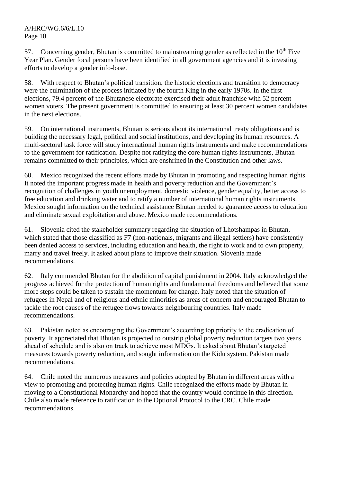57. Concerning gender, Bhutan is committed to mainstreaming gender as reflected in the  $10<sup>th</sup>$  Five Year Plan. Gender focal persons have been identified in all government agencies and it is investing efforts to develop a gender info-base.

58. With respect to Bhutan's political transition, the historic elections and transition to democracy were the culmination of the process initiated by the fourth King in the early 1970s. In the first elections, 79.4 percent of the Bhutanese electorate exercised their adult franchise with 52 percent women voters. The present government is committed to ensuring at least 30 percent women candidates in the next elections.

59. On international instruments, Bhutan is serious about its international treaty obligations and is building the necessary legal, political and social institutions, and developing its human resources. A multi-sectoral task force will study international human rights instruments and make recommendations to the government for ratification. Despite not ratifying the core human rights instruments, Bhutan remains committed to their principles, which are enshrined in the Constitution and other laws.

60. Mexico recognized the recent efforts made by Bhutan in promoting and respecting human rights. It noted the important progress made in health and poverty reduction and the Government's recognition of challenges in youth unemployment, domestic violence, gender equality, better access to free education and drinking water and to ratify a number of international human rights instruments. Mexico sought information on the technical assistance Bhutan needed to guarantee access to education and eliminate sexual exploitation and abuse. Mexico made recommendations.

61. Slovenia cited the stakeholder summary regarding the situation of Lhotshampas in Bhutan, which stated that those classified as F7 (non-nationals, migrants and illegal settlers) have consistently been denied access to services, including education and health, the right to work and to own property, marry and travel freely. It asked about plans to improve their situation. Slovenia made recommendations.

62. Italy commended Bhutan for the abolition of capital punishment in 2004. Italy acknowledged the progress achieved for the protection of human rights and fundamental freedoms and believed that some more steps could be taken to sustain the momentum for change. Italy noted that the situation of refugees in Nepal and of religious and ethnic minorities as areas of concern and encouraged Bhutan to tackle the root causes of the refugee flows towards neighbouring countries. Italy made recommendations.

63. Pakistan noted as encouraging the Government's according top priority to the eradication of poverty. It appreciated that Bhutan is projected to outstrip global poverty reduction targets two years ahead of schedule and is also on track to achieve most MDGs. It asked about Bhutan's targeted measures towards poverty reduction, and sought information on the Kidu system. Pakistan made recommendations.

64. Chile noted the numerous measures and policies adopted by Bhutan in different areas with a view to promoting and protecting human rights. Chile recognized the efforts made by Bhutan in moving to a Constitutional Monarchy and hoped that the country would continue in this direction. Chile also made reference to ratification to the Optional Protocol to the CRC. Chile made recommendations.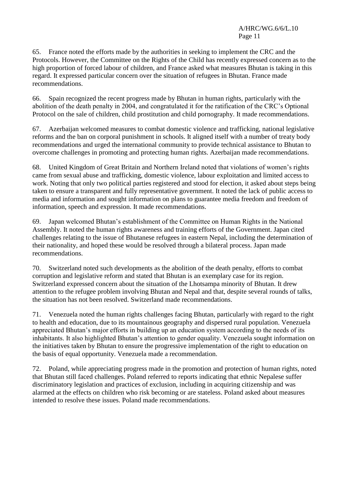65. France noted the efforts made by the authorities in seeking to implement the CRC and the Protocols. However, the Committee on the Rights of the Child has recently expressed concern as to the high proportion of forced labour of children, and France asked what measures Bhutan is taking in this regard. It expressed particular concern over the situation of refugees in Bhutan. France made recommendations.

66. Spain recognized the recent progress made by Bhutan in human rights, particularly with the abolition of the death penalty in 2004, and congratulated it for the ratification of the CRC's Optional Protocol on the sale of children, child prostitution and child pornography. It made recommendations.

67. Azerbaijan welcomed measures to combat domestic violence and trafficking, national legislative reforms and the ban on corporal punishment in schools. It aligned itself with a number of treaty body recommendations and urged the international community to provide technical assistance to Bhutan to overcome challenges in promoting and protecting human rights. Azerbaijan made recommendations.

68. United Kingdom of Great Britain and Northern Ireland noted that violations of women's rights came from sexual abuse and trafficking, domestic violence, labour exploitation and limited access to work. Noting that only two political parties registered and stood for election, it asked about steps being taken to ensure a transparent and fully representative government. It noted the lack of public access to media and information and sought information on plans to guarantee media freedom and freedom of information, speech and expression. It made recommendations.

69. Japan welcomed Bhutan's establishment of the Committee on Human Rights in the National Assembly. It noted the human rights awareness and training efforts of the Government. Japan cited challenges relating to the issue of Bhutanese refugees in eastern Nepal, including the determination of their nationality, and hoped these would be resolved through a bilateral process. Japan made recommendations.

70. Switzerland noted such developments as the abolition of the death penalty, efforts to combat corruption and legislative reform and stated that Bhutan is an exemplary case for its region. Switzerland expressed concern about the situation of the Lhotsampa minority of Bhutan. It drew attention to the refugee problem involving Bhutan and Nepal and that, despite several rounds of talks, the situation has not been resolved. Switzerland made recommendations.

71. Venezuela noted the human rights challenges facing Bhutan, particularly with regard to the right to health and education, due to its mountainous geography and dispersed rural population. Venezuela appreciated Bhutan's major efforts in building up an education system according to the needs of its inhabitants. It also highlighted Bhutan's attention to gender equality. Venezuela sought information on the initiatives taken by Bhutan to ensure the progressive implementation of the right to education on the basis of equal opportunity. Venezuela made a recommendation.

72. Poland, while appreciating progress made in the promotion and protection of human rights, noted that Bhutan still faced challenges. Poland referred to reports indicating that ethnic Nepalese suffer discriminatory legislation and practices of exclusion, including in acquiring citizenship and was alarmed at the effects on children who risk becoming or are stateless. Poland asked about measures intended to resolve these issues. Poland made recommendations.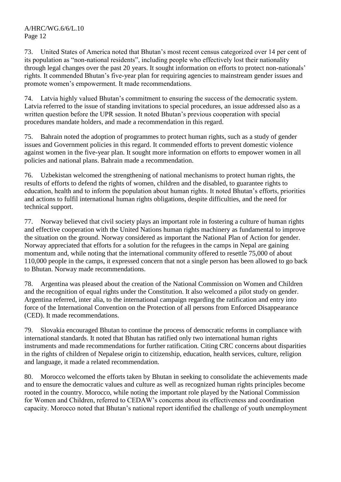73. United States of America noted that Bhutan's most recent census categorized over 14 per cent of its population as "non-national residents", including people who effectively lost their nationality through legal changes over the past 20 years. It sought information on efforts to protect non-nationals' rights. It commended Bhutan's five-year plan for requiring agencies to mainstream gender issues and promote women's empowerment. It made recommendations.

74. Latvia highly valued Bhutan's commitment to ensuring the success of the democratic system. Latvia referred to the issue of standing invitations to special procedures, an issue addressed also as a written question before the UPR session. It noted Bhutan's previous cooperation with special procedures mandate holders, and made a recommendation in this regard.

75. Bahrain noted the adoption of programmes to protect human rights, such as a study of gender issues and Government policies in this regard. It commended efforts to prevent domestic violence against women in the five-year plan. It sought more information on efforts to empower women in all policies and national plans. Bahrain made a recommendation.

76. Uzbekistan welcomed the strengthening of national mechanisms to protect human rights, the results of efforts to defend the rights of women, children and the disabled, to guarantee rights to education, health and to inform the population about human rights. It noted Bhutan's efforts, priorities and actions to fulfil international human rights obligations, despite difficulties, and the need for technical support.

77. Norway believed that civil society plays an important role in fostering a culture of human rights and effective cooperation with the United Nations human rights machinery as fundamental to improve the situation on the ground. Norway considered as important the National Plan of Action for gender. Norway appreciated that efforts for a solution for the refugees in the camps in Nepal are gaining momentum and, while noting that the international community offered to resettle 75,000 of about 110,000 people in the camps, it expressed concern that not a single person has been allowed to go back to Bhutan. Norway made recommendations.

78. Argentina was pleased about the creation of the National Commission on Women and Children and the recognition of equal rights under the Constitution. It also welcomed a pilot study on gender. Argentina referred, inter alia, to the international campaign regarding the ratification and entry into force of the International Convention on the Protection of all persons from Enforced Disappearance (CED). It made recommendations.

79. Slovakia encouraged Bhutan to continue the process of democratic reforms in compliance with international standards. It noted that Bhutan has ratified only two international human rights instruments and made recommendations for further ratification. Citing CRC concerns about disparities in the rights of children of Nepalese origin to citizenship, education, health services, culture, religion and language, it made a related recommendation.

80. Morocco welcomed the efforts taken by Bhutan in seeking to consolidate the achievements made and to ensure the democratic values and culture as well as recognized human rights principles become rooted in the country. Morocco, while noting the important role played by the National Commission for Women and Children, referred to CEDAW's concerns about its effectiveness and coordination capacity. Morocco noted that Bhutan's national report identified the challenge of youth unemployment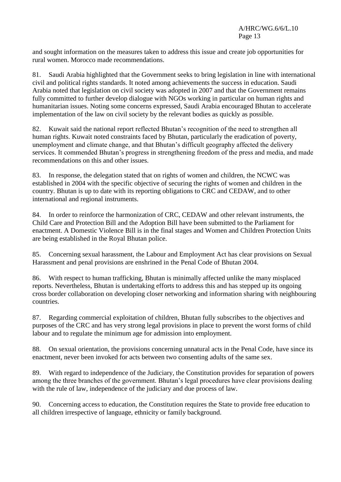and sought information on the measures taken to address this issue and create job opportunities for rural women. Morocco made recommendations.

81. Saudi Arabia highlighted that the Government seeks to bring legislation in line with international civil and political rights standards. It noted among achievements the success in education. Saudi Arabia noted that legislation on civil society was adopted in 2007 and that the Government remains fully committed to further develop dialogue with NGOs working in particular on human rights and humanitarian issues. Noting some concerns expressed, Saudi Arabia encouraged Bhutan to accelerate implementation of the law on civil society by the relevant bodies as quickly as possible.

82. Kuwait said the national report reflected Bhutan's recognition of the need to strengthen all human rights. Kuwait noted constraints faced by Bhutan, particularly the eradication of poverty, unemployment and climate change, and that Bhutan's difficult geography affected the delivery services. It commended Bhutan's progress in strengthening freedom of the press and media, and made recommendations on this and other issues.

83. In response, the delegation stated that on rights of women and children, the NCWC was established in 2004 with the specific objective of securing the rights of women and children in the country. Bhutan is up to date with its reporting obligations to CRC and CEDAW, and to other international and regional instruments.

84. In order to reinforce the harmonization of CRC, CEDAW and other relevant instruments, the Child Care and Protection Bill and the Adoption Bill have been submitted to the Parliament for enactment. A Domestic Violence Bill is in the final stages and Women and Children Protection Units are being established in the Royal Bhutan police.

85. Concerning sexual harassment, the Labour and Employment Act has clear provisions on Sexual Harassment and penal provisions are enshrined in the Penal Code of Bhutan 2004.

86. With respect to human trafficking, Bhutan is minimally affected unlike the many misplaced reports. Nevertheless, Bhutan is undertaking efforts to address this and has stepped up its ongoing cross border collaboration on developing closer networking and information sharing with neighbouring countries.

87. Regarding commercial exploitation of children, Bhutan fully subscribes to the objectives and purposes of the CRC and has very strong legal provisions in place to prevent the worst forms of child labour and to regulate the minimum age for admission into employment.

88. On sexual orientation, the provisions concerning unnatural acts in the Penal Code, have since its enactment, never been invoked for acts between two consenting adults of the same sex.

89. With regard to independence of the Judiciary, the Constitution provides for separation of powers among the three branches of the government. Bhutan's legal procedures have clear provisions dealing with the rule of law, independence of the judiciary and due process of law.

90. Concerning access to education, the Constitution requires the State to provide free education to all children irrespective of language, ethnicity or family background.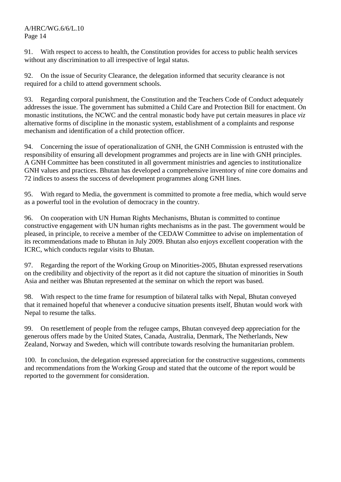91. With respect to access to health, the Constitution provides for access to public health services without any discrimination to all irrespective of legal status.

92. On the issue of Security Clearance, the delegation informed that security clearance is not required for a child to attend government schools.

93. Regarding corporal punishment, the Constitution and the Teachers Code of Conduct adequately addresses the issue. The government has submitted a Child Care and Protection Bill for enactment. On monastic institutions, the NCWC and the central monastic body have put certain measures in place *viz*  alternative forms of discipline in the monastic system, establishment of a complaints and response mechanism and identification of a child protection officer.

94. Concerning the issue of operationalization of GNH, the GNH Commission is entrusted with the responsibility of ensuring all development programmes and projects are in line with GNH principles. A GNH Committee has been constituted in all government ministries and agencies to institutionalize GNH values and practices. Bhutan has developed a comprehensive inventory of nine core domains and 72 indices to assess the success of development programmes along GNH lines.

95. With regard to Media, the government is committed to promote a free media, which would serve as a powerful tool in the evolution of democracy in the country.

96. On cooperation with UN Human Rights Mechanisms, Bhutan is committed to continue constructive engagement with UN human rights mechanisms as in the past. The government would be pleased, in principle, to receive a member of the CEDAW Committee to advise on implementation of its recommendations made to Bhutan in July 2009. Bhutan also enjoys excellent cooperation with the ICRC, which conducts regular visits to Bhutan.

97. Regarding the report of the Working Group on Minorities-2005, Bhutan expressed reservations on the credibility and objectivity of the report as it did not capture the situation of minorities in South Asia and neither was Bhutan represented at the seminar on which the report was based.

98. With respect to the time frame for resumption of bilateral talks with Nepal, Bhutan conveyed that it remained hopeful that whenever a conducive situation presents itself, Bhutan would work with Nepal to resume the talks.

99. On resettlement of people from the refugee camps, Bhutan conveyed deep appreciation for the generous offers made by the United States, Canada, Australia, Denmark, The Netherlands, New Zealand, Norway and Sweden, which will contribute towards resolving the humanitarian problem.

100. In conclusion, the delegation expressed appreciation for the constructive suggestions, comments and recommendations from the Working Group and stated that the outcome of the report would be reported to the government for consideration.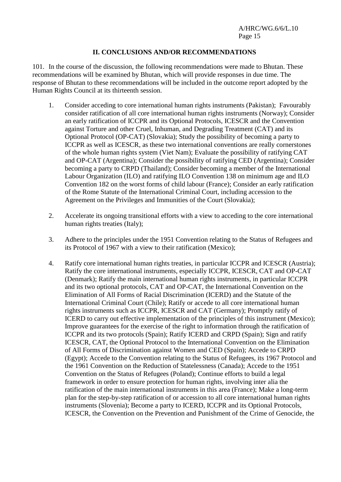## **II. CONCLUSIONS AND/OR RECOMMENDATIONS**

101. In the course of the discussion, the following recommendations were made to Bhutan. These recommendations will be examined by Bhutan, which will provide responses in due time. The response of Bhutan to these recommendations will be included in the outcome report adopted by the Human Rights Council at its thirteenth session.

- 1. Consider acceding to core international human rights instruments (Pakistan); Favourably consider ratification of all core international human rights instruments (Norway); Consider an early ratification of ICCPR and its Optional Protocols, ICESCR and the Convention against Torture and other Cruel, Inhuman, and Degrading Treatment (CAT) and its Optional Protocol (OP-CAT) (Slovakia); Study the possibility of becoming a party to ICCPR as well as ICESCR, as these two international conventions are really cornerstones of the whole human rights system (Viet Nam); Evaluate the possibility of ratifying CAT and OP-CAT (Argentina); Consider the possibility of ratifying CED (Argentina); Consider becoming a party to CRPD (Thailand); Consider becoming a member of the International Labour Organization (ILO) and ratifying ILO Convention 138 on minimum age and ILO Convention 182 on the worst forms of child labour (France); Consider an early ratification of the Rome Statute of the International Criminal Court, including accession to the Agreement on the Privileges and Immunities of the Court (Slovakia);
- 2. Accelerate its ongoing transitional efforts with a view to acceding to the core international human rights treaties (Italy);
- 3. Adhere to the principles under the 1951 Convention relating to the Status of Refugees and its Protocol of 1967 with a view to their ratification (Mexico);
- 4. Ratify core international human rights treaties, in particular ICCPR and ICESCR (Austria); Ratify the core international instruments, especially ICCPR, ICESCR, CAT and OP-CAT (Denmark); Ratify the main international human rights instruments, in particular ICCPR and its two optional protocols, CAT and OP-CAT, the International Convention on the Elimination of All Forms of Racial Discrimination (ICERD) and the Statute of the International Criminal Court (Chile); Ratify or accede to all core international human rights instruments such as ICCPR, ICESCR and CAT (Germany); Promptly ratify of ICERD to carry out effective implementation of the principles of this instrument (Mexico); Improve guarantees for the exercise of the right to information through the ratification of ICCPR and its two protocols (Spain); Ratify ICERD and CRPD (Spain); Sign and ratify ICESCR, CAT, the Optional Protocol to the International Convention on the Elimination of All Forms of Discrimination against Women and CED (Spain); Accede to CRPD (Egypt); Accede to the Convention relating to the Status of Refugees, its 1967 Protocol and the 1961 Convention on the Reduction of Statelessness (Canada); Accede to the 1951 Convention on the Status of Refugees (Poland); Continue efforts to build a legal framework in order to ensure protection for human rights, involving inter alia the ratification of the main international instruments in this area (France); Make a long-term plan for the step-by-step ratification of or accession to all core international human rights instruments (Slovenia); Become a party to ICERD, ICCPR and its Optional Protocols, ICESCR, the Convention on the Prevention and Punishment of the Crime of Genocide, the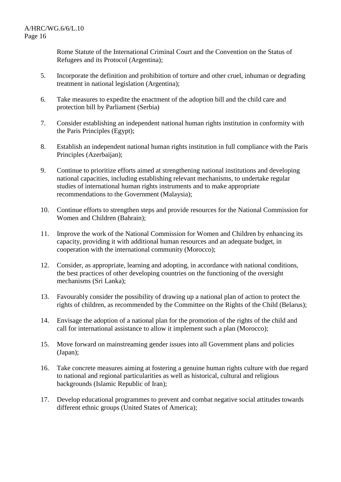Rome Statute of the International Criminal Court and the Convention on the Status of Refugees and its Protocol (Argentina);

- 5. Incorporate the definition and prohibition of torture and other cruel, inhuman or degrading treatment in national legislation (Argentina);
- 6. Take measures to expedite the enactment of the adoption bill and the child care and protection bill by Parliament (Serbia)
- 7. Consider establishing an independent national human rights institution in conformity with the Paris Principles (Egypt);
- 8. Establish an independent national human rights institution in full compliance with the Paris Principles (Azerbaijan);
- 9. Continue to prioritize efforts aimed at strengthening national institutions and developing national capacities, including establishing relevant mechanisms, to undertake regular studies of international human rights instruments and to make appropriate recommendations to the Government (Malaysia);
- 10. Continue efforts to strengthen steps and provide resources for the National Commission for Women and Children (Bahrain);
- 11. Improve the work of the National Commission for Women and Children by enhancing its capacity, providing it with additional human resources and an adequate budget, in cooperation with the international community (Morocco);
- 12. Consider, as appropriate, learning and adopting, in accordance with national conditions, the best practices of other developing countries on the functioning of the oversight mechanisms (Sri Lanka);
- 13. Favourably consider the possibility of drawing up a national plan of action to protect the rights of children, as recommended by the Committee on the Rights of the Child (Belarus);
- 14. Envisage the adoption of a national plan for the promotion of the rights of the child and call for international assistance to allow it implement such a plan (Morocco);
- 15. Move forward on mainstreaming gender issues into all Government plans and policies (Japan);
- 16. Take concrete measures aiming at fostering a genuine human rights culture with due regard to national and regional particularities as well as historical, cultural and religious backgrounds (Islamic Republic of Iran);
- 17. Develop educational programmes to prevent and combat negative social attitudes towards different ethnic groups (United States of America);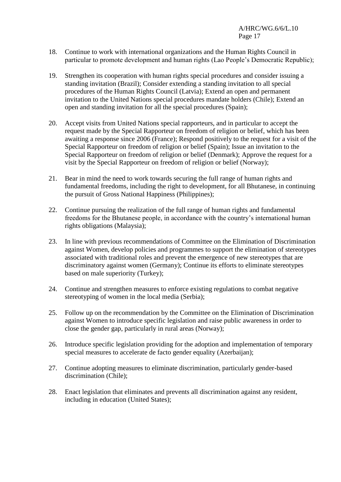- 18. Continue to work with international organizations and the Human Rights Council in particular to promote development and human rights (Lao People's Democratic Republic);
- 19. Strengthen its cooperation with human rights special procedures and consider issuing a standing invitation (Brazil); Consider extending a standing invitation to all special procedures of the Human Rights Council (Latvia); Extend an open and permanent invitation to the United Nations special procedures mandate holders (Chile); Extend an open and standing invitation for all the special procedures (Spain);
- 20. Accept visits from United Nations special rapporteurs, and in particular to accept the request made by the Special Rapporteur on freedom of religion or belief, which has been awaiting a response since 2006 (France); Respond positively to the request for a visit of the Special Rapporteur on freedom of religion or belief (Spain); Issue an invitation to the Special Rapporteur on freedom of religion or belief (Denmark); Approve the request for a visit by the Special Rapporteur on freedom of religion or belief (Norway);
- 21. Bear in mind the need to work towards securing the full range of human rights and fundamental freedoms, including the right to development, for all Bhutanese, in continuing the pursuit of Gross National Happiness (Philippines);
- 22. Continue pursuing the realization of the full range of human rights and fundamental freedoms for the Bhutanese people, in accordance with the country's international human rights obligations (Malaysia);
- 23. In line with previous recommendations of Committee on the Elimination of Discrimination against Women, develop policies and programmes to support the elimination of stereotypes associated with traditional roles and prevent the emergence of new stereotypes that are discriminatory against women (Germany); Continue its efforts to eliminate stereotypes based on male superiority (Turkey);
- 24. Continue and strengthen measures to enforce existing regulations to combat negative stereotyping of women in the local media (Serbia);
- 25. Follow up on the recommendation by the Committee on the Elimination of Discrimination against Women to introduce specific legislation and raise public awareness in order to close the gender gap, particularly in rural areas (Norway);
- 26. Introduce specific legislation providing for the adoption and implementation of temporary special measures to accelerate de facto gender equality (Azerbaijan);
- 27. Continue adopting measures to eliminate discrimination, particularly gender-based discrimination (Chile);
- 28. Enact legislation that eliminates and prevents all discrimination against any resident, including in education (United States);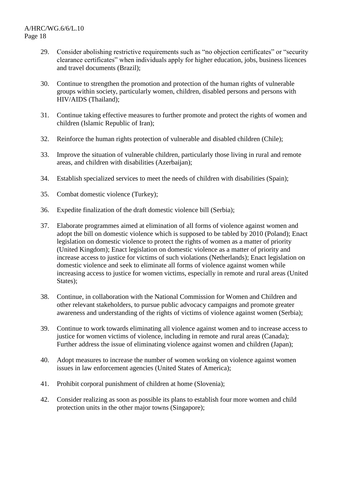- 29. Consider abolishing restrictive requirements such as "no objection certificates" or "security clearance certificates" when individuals apply for higher education, jobs, business licences and travel documents (Brazil);
- 30. Continue to strengthen the promotion and protection of the human rights of vulnerable groups within society, particularly women, children, disabled persons and persons with HIV/AIDS (Thailand);
- 31. Continue taking effective measures to further promote and protect the rights of women and children (Islamic Republic of Iran);
- 32. Reinforce the human rights protection of vulnerable and disabled children (Chile);
- 33. Improve the situation of vulnerable children, particularly those living in rural and remote areas, and children with disabilities (Azerbaijan);
- 34. Establish specialized services to meet the needs of children with disabilities (Spain);
- 35. Combat domestic violence (Turkey);
- 36. Expedite finalization of the draft domestic violence bill (Serbia);
- 37. Elaborate programmes aimed at elimination of all forms of violence against women and adopt the bill on domestic violence which is supposed to be tabled by 2010 (Poland); Enact legislation on domestic violence to protect the rights of women as a matter of priority (United Kingdom); Enact legislation on domestic violence as a matter of priority and increase access to justice for victims of such violations (Netherlands); Enact legislation on domestic violence and seek to eliminate all forms of violence against women while increasing access to justice for women victims, especially in remote and rural areas (United States);
- 38. Continue, in collaboration with the National Commission for Women and Children and other relevant stakeholders, to pursue public advocacy campaigns and promote greater awareness and understanding of the rights of victims of violence against women (Serbia);
- 39. Continue to work towards eliminating all violence against women and to increase access to justice for women victims of violence, including in remote and rural areas (Canada); Further address the issue of eliminating violence against women and children (Japan);
- 40. Adopt measures to increase the number of women working on violence against women issues in law enforcement agencies (United States of America);
- 41. Prohibit corporal punishment of children at home (Slovenia);
- 42. Consider realizing as soon as possible its plans to establish four more women and child protection units in the other major towns (Singapore);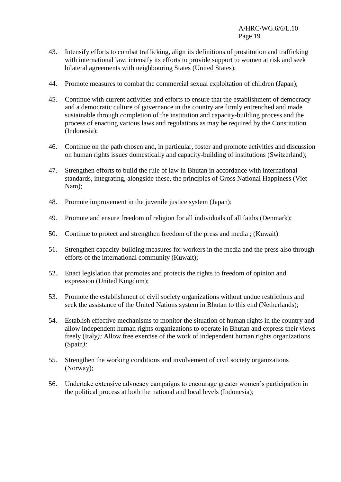- 43. Intensify efforts to combat trafficking, align its definitions of prostitution and trafficking with international law, intensify its efforts to provide support to women at risk and seek bilateral agreements with neighbouring States (United States);
- 44. Promote measures to combat the commercial sexual exploitation of children (Japan);
- 45. Continue with current activities and efforts to ensure that the establishment of democracy and a democratic culture of governance in the country are firmly entrenched and made sustainable through completion of the institution and capacity-building process and the process of enacting various laws and regulations as may be required by the Constitution (Indonesia);
- 46. Continue on the path chosen and, in particular, foster and promote activities and discussion on human rights issues domestically and capacity-building of institutions (Switzerland);
- 47. Strengthen efforts to build the rule of law in Bhutan in accordance with international standards, integrating, alongside these, the principles of Gross National Happiness (Viet Nam);
- 48. Promote improvement in the juvenile justice system (Japan);
- 49. Promote and ensure freedom of religion for all individuals of all faiths (Denmark);
- 50. Continue to protect and strengthen freedom of the press and media ; (Kuwait)
- 51. Strengthen capacity-building measures for workers in the media and the press also through efforts of the international community (Kuwait);
- 52. Enact legislation that promotes and protects the rights to freedom of opinion and expression (United Kingdom);
- 53. Promote the establishment of civil society organizations without undue restrictions and seek the assistance of the United Nations system in Bhutan to this end (Netherlands);
- 54. Establish effective mechanisms to monitor the situation of human rights in the country and allow independent human rights organizations to operate in Bhutan and express their views freely (Italy*);* Allow free exercise of the work of independent human rights organizations (Spain*);*
- 55. Strengthen the working conditions and involvement of civil society organizations (Norway);
- 56. Undertake extensive advocacy campaigns to encourage greater women's participation in the political process at both the national and local levels (Indonesia);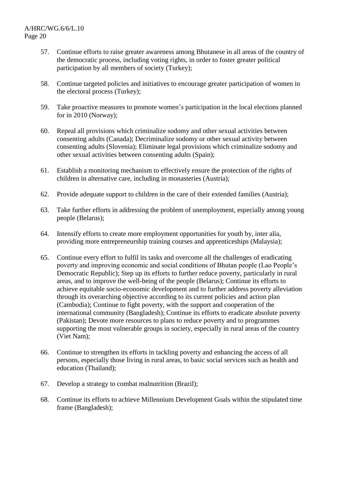- 57. Continue efforts to raise greater awareness among Bhutanese in all areas of the country of the democratic process, including voting rights, in order to foster greater political participation by all members of society (Turkey);
- 58. Continue targeted policies and initiatives to encourage greater participation of women in the electoral process (Turkey);
- 59. Take proactive measures to promote women's participation in the local elections planned for in 2010 (Norway);
- 60. Repeal all provisions which criminalize sodomy and other sexual activities between consenting adults (Canada); Decriminalize sodomy or other sexual activity between consenting adults (Slovenia); Eliminate legal provisions which criminalize sodomy and other sexual activities between consenting adults (Spain);
- 61. Establish a monitoring mechanism to effectively ensure the protection of the rights of children in alternative care, including in monasteries (Austria);
- 62. Provide adequate support to children in the care of their extended families (Austria);
- 63. Take further efforts in addressing the problem of unemployment, especially among young people (Belarus);
- 64. Intensify efforts to create more employment opportunities for youth by, inter alia, providing more entrepreneurship training courses and apprenticeships (Malaysia);
- 65. Continue every effort to fulfil its tasks and overcome all the challenges of eradicating poverty and improving economic and social conditions of Bhutan people (Lao People's Democratic Republic); Step up its efforts to further reduce poverty, particularly in rural areas, and to improve the well-being of the people (Belarus); Continue its efforts to achieve equitable socio-economic development and to further address poverty alleviation through its overarching objective according to its current policies and action plan (Cambodia); Continue to fight poverty, with the support and cooperation of the international community (Bangladesh); Continue its efforts to eradicate absolute poverty (Pakistan); Devote more resources to plans to reduce poverty and to programmes supporting the most vulnerable groups in society, especially in rural areas of the country (Viet Nam);
- 66. Continue to strengthen its efforts in tackling poverty and enhancing the access of all persons, especially those living in rural areas, to basic social services such as health and education (Thailand);
- 67. Develop a strategy to combat malnutrition (Brazil);
- 68. Continue its efforts to achieve Millennium Development Goals within the stipulated time frame (Bangladesh);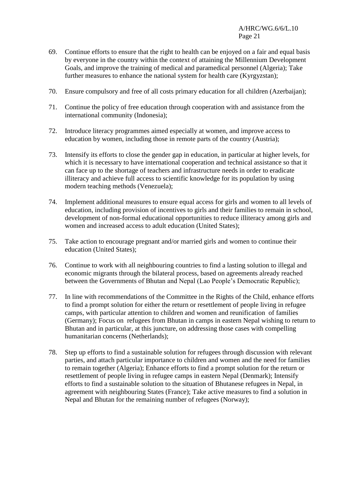- 69. Continue efforts to ensure that the right to health can be enjoyed on a fair and equal basis by everyone in the country within the context of attaining the Millennium Development Goals, and improve the training of medical and paramedical personnel (Algeria); Take further measures to enhance the national system for health care (Kyrgyzstan);
- 70. Ensure compulsory and free of all costs primary education for all children (Azerbaijan);
- 71. Continue the policy of free education through cooperation with and assistance from the international community (Indonesia);
- 72. Introduce literacy programmes aimed especially at women, and improve access to education by women, including those in remote parts of the country (Austria);
- 73. Intensify its efforts to close the gender gap in education, in particular at higher levels, for which it is necessary to have international cooperation and technical assistance so that it can face up to the shortage of teachers and infrastructure needs in order to eradicate illiteracy and achieve full access to scientific knowledge for its population by using modern teaching methods (Venezuela);
- 74. Implement additional measures to ensure equal access for girls and women to all levels of education, including provision of incentives to girls and their families to remain in school, development of non-formal educational opportunities to reduce illiteracy among girls and women and increased access to adult education (United States);
- 75. Take action to encourage pregnant and/or married girls and women to continue their education (United States);
- 76. Continue to work with all neighbouring countries to find a lasting solution to illegal and economic migrants through the bilateral process, based on agreements already reached between the Governments of Bhutan and Nepal (Lao People's Democratic Republic);
- 77. In line with recommendations of the Committee in the Rights of the Child, enhance efforts to find a prompt solution for either the return or resettlement of people living in refugee camps, with particular attention to children and women and reunification of families (Germany); Focus on refugees from Bhutan in camps in eastern Nepal wishing to return to Bhutan and in particular, at this juncture, on addressing those cases with compelling humanitarian concerns (Netherlands);
- 78. Step up efforts to find a sustainable solution for refugees through discussion with relevant parties, and attach particular importance to children and women and the need for families to remain together (Algeria); Enhance efforts to find a prompt solution for the return or resettlement of people living in refugee camps in eastern Nepal (Denmark); Intensify efforts to find a sustainable solution to the situation of Bhutanese refugees in Nepal, in agreement with neighbouring States (France); Take active measures to find a solution in Nepal and Bhutan for the remaining number of refugees (Norway);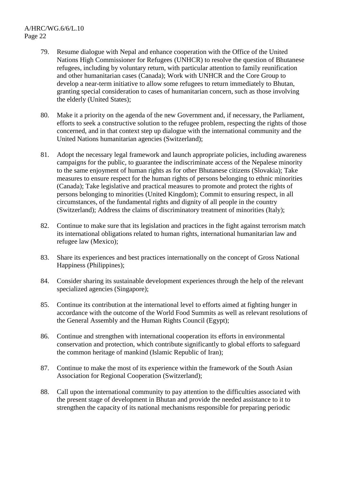- 79. Resume dialogue with Nepal and enhance cooperation with the Office of the United Nations High Commissioner for Refugees (UNHCR) to resolve the question of Bhutanese refugees, including by voluntary return, with particular attention to family reunification and other humanitarian cases (Canada); Work with UNHCR and the Core Group to develop a near-term initiative to allow some refugees to return immediately to Bhutan, granting special consideration to cases of humanitarian concern, such as those involving the elderly (United States);
- 80. Make it a priority on the agenda of the new Government and, if necessary, the Parliament, efforts to seek a constructive solution to the refugee problem, respecting the rights of those concerned, and in that context step up dialogue with the international community and the United Nations humanitarian agencies (Switzerland);
- 81. Adopt the necessary legal framework and launch appropriate policies, including awareness campaigns for the public, to guarantee the indiscriminate access of the Nepalese minority to the same enjoyment of human rights as for other Bhutanese citizens (Slovakia); Take measures to ensure respect for the human rights of persons belonging to ethnic minorities (Canada); Take legislative and practical measures to promote and protect the rights of persons belonging to minorities (United Kingdom); Commit to ensuring respect, in all circumstances, of the fundamental rights and dignity of all people in the country (Switzerland); Address the claims of discriminatory treatment of minorities (Italy);
- 82. Continue to make sure that its legislation and practices in the fight against terrorism match its international obligations related to human rights, international humanitarian law and refugee law (Mexico);
- 83. Share its experiences and best practices internationally on the concept of Gross National Happiness (Philippines);
- 84. Consider sharing its sustainable development experiences through the help of the relevant specialized agencies (Singapore);
- 85. Continue its contribution at the international level to efforts aimed at fighting hunger in accordance with the outcome of the World Food Summits as well as relevant resolutions of the General Assembly and the Human Rights Council (Egypt);
- 86. Continue and strengthen with international cooperation its efforts in environmental conservation and protection, which contribute significantly to global efforts to safeguard the common heritage of mankind (Islamic Republic of Iran);
- 87. Continue to make the most of its experience within the framework of the South Asian Association for Regional Cooperation (Switzerland);
- 88. Call upon the international community to pay attention to the difficulties associated with the present stage of development in Bhutan and provide the needed assistance to it to strengthen the capacity of its national mechanisms responsible for preparing periodic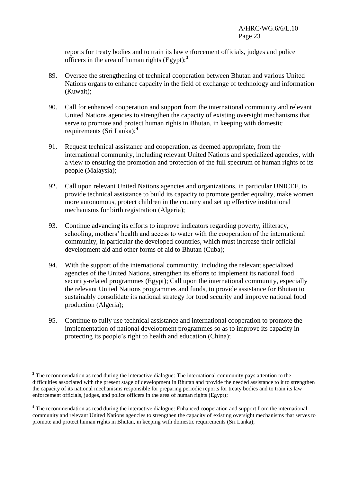reports for treaty bodies and to train its law enforcement officials, judges and police officers in the area of human rights (Egypt);**<sup>3</sup>**

- 89. Oversee the strengthening of technical cooperation between Bhutan and various United Nations organs to enhance capacity in the field of exchange of technology and information (Kuwait);
- 90. Call for enhanced cooperation and support from the international community and relevant United Nations agencies to strengthen the capacity of existing oversight mechanisms that serve to promote and protect human rights in Bhutan, in keeping with domestic requirements (Sri Lanka);**<sup>4</sup>**
- 91. Request technical assistance and cooperation, as deemed appropriate, from the international community, including relevant United Nations and specialized agencies, with a view to ensuring the promotion and protection of the full spectrum of human rights of its people (Malaysia);
- 92. Call upon relevant United Nations agencies and organizations, in particular UNICEF, to provide technical assistance to build its capacity to promote gender equality, make women more autonomous, protect children in the country and set up effective institutional mechanisms for birth registration (Algeria);
- 93. Continue advancing its efforts to improve indicators regarding poverty, illiteracy, schooling, mothers' health and access to water with the cooperation of the international community, in particular the developed countries, which must increase their official development aid and other forms of aid to Bhutan (Cuba);
- 94. With the support of the international community, including the relevant specialized agencies of the United Nations, strengthen its efforts to implement its national food security-related programmes (Egypt); Call upon the international community, especially the relevant United Nations programmes and funds, to provide assistance for Bhutan to sustainably consolidate its national strategy for food security and improve national food production (Algeria);
- 95. Continue to fully use technical assistance and international cooperation to promote the implementation of national development programmes so as to improve its capacity in protecting its people's right to health and education (China);

1

<sup>&</sup>lt;sup>3</sup> The recommendation as read during the interactive dialogue: The international community pays attention to the difficulties associated with the present stage of development in Bhutan and provide the needed assistance to it to strengthen the capacity of its national mechanisms responsible for preparing periodic reports for treaty bodies and to train its law enforcement officials, judges, and police officers in the area of human rights (Egypt);

**<sup>4</sup>** The recommendation as read during the interactive dialogue: Enhanced cooperation and support from the international community and relevant United Nations agencies to strengthen the capacity of existing oversight mechanisms that serves to promote and protect human rights in Bhutan, in keeping with domestic requirements (Sri Lanka);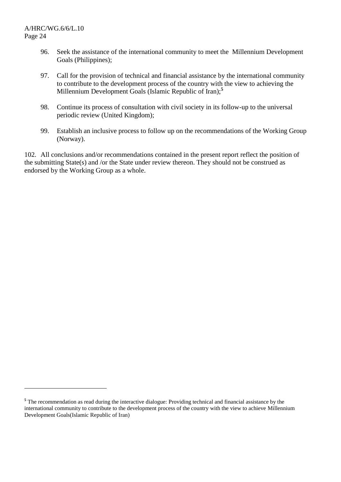$\overline{a}$ 

- 96. Seek the assistance of the international community to meet the Millennium Development Goals (Philippines);
- 97. Call for the provision of technical and financial assistance by the international community to contribute to the development process of the country with the view to achieving the Millennium Development Goals (Islamic Republic of Iran);**<sup>5</sup>**
- 98. Continue its process of consultation with civil society in its follow-up to the universal periodic review (United Kingdom);
- 99. Establish an inclusive process to follow up on the recommendations of the Working Group (Norway).

102. All conclusions and/or recommendations contained in the present report reflect the position of the submitting State(s) and /or the State under review thereon. They should not be construed as endorsed by the Working Group as a whole.

**<sup>5</sup>** The recommendation as read during the interactive dialogue: Providing technical and financial assistance by the international community to contribute to the development process of the country with the view to achieve Millennium Development Goals(Islamic Republic of Iran)